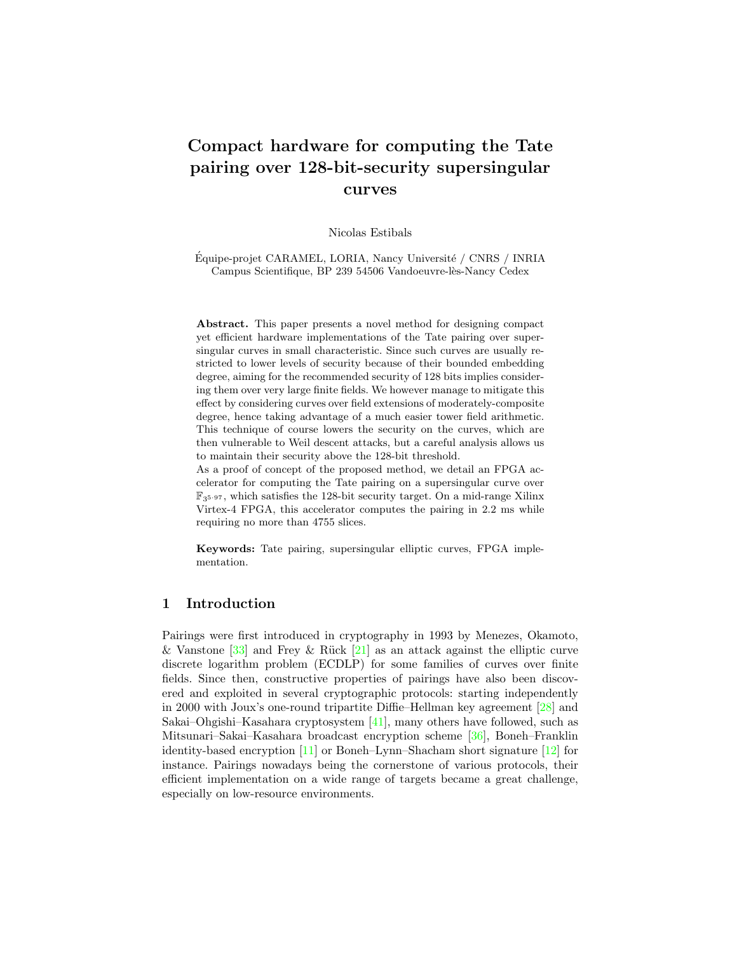# Compact hardware for computing the Tate pairing over 128-bit-security supersingular curves

Nicolas Estibals

Équipe-projet CARAMEL, LORIA, Nancy Université / CNRS / INRIA Campus Scientifique, BP 239 54506 Vandoeuvre-lès-Nancy Cedex

Abstract. This paper presents a novel method for designing compact yet efficient hardware implementations of the Tate pairing over supersingular curves in small characteristic. Since such curves are usually restricted to lower levels of security because of their bounded embedding degree, aiming for the recommended security of 128 bits implies considering them over very large finite fields. We however manage to mitigate this effect by considering curves over field extensions of moderately-composite degree, hence taking advantage of a much easier tower field arithmetic. This technique of course lowers the security on the curves, which are then vulnerable to Weil descent attacks, but a careful analysis allows us to maintain their security above the 128-bit threshold.

As a proof of concept of the proposed method, we detail an FPGA accelerator for computing the Tate pairing on a supersingular curve over  $\mathbb{F}_{3^{5\cdot 97}}$ , which satisfies the 128-bit security target. On a mid-range Xilinx Virtex-4 FPGA, this accelerator computes the pairing in 2.2 ms while requiring no more than 4755 slices.

Keywords: Tate pairing, supersingular elliptic curves, FPGA implementation.

# 1 Introduction

Pairings were first introduced in cryptography in 1993 by Menezes, Okamoto, & Vanstone  $\lceil 33 \rceil$  and Frey & Rück  $\lceil 21 \rceil$  as an attack against the elliptic curve discrete logarithm problem (ECDLP) for some families of curves over finite fields. Since then, constructive properties of pairings have also been discovered and exploited in several cryptographic protocols: starting independently in 2000 with Joux's one-round tripartite Diffie–Hellman key agreement [\[28\]](#page-15-2) and Sakai–Ohgishi–Kasahara cryptosystem [\[41\]](#page-16-0), many others have followed, such as Mitsunari–Sakai–Kasahara broadcast encryption scheme [\[36\]](#page-16-1), Boneh–Franklin identity-based encryption [\[11\]](#page-14-0) or Boneh–Lynn–Shacham short signature [\[12\]](#page-14-1) for instance. Pairings nowadays being the cornerstone of various protocols, their efficient implementation on a wide range of targets became a great challenge, especially on low-resource environments.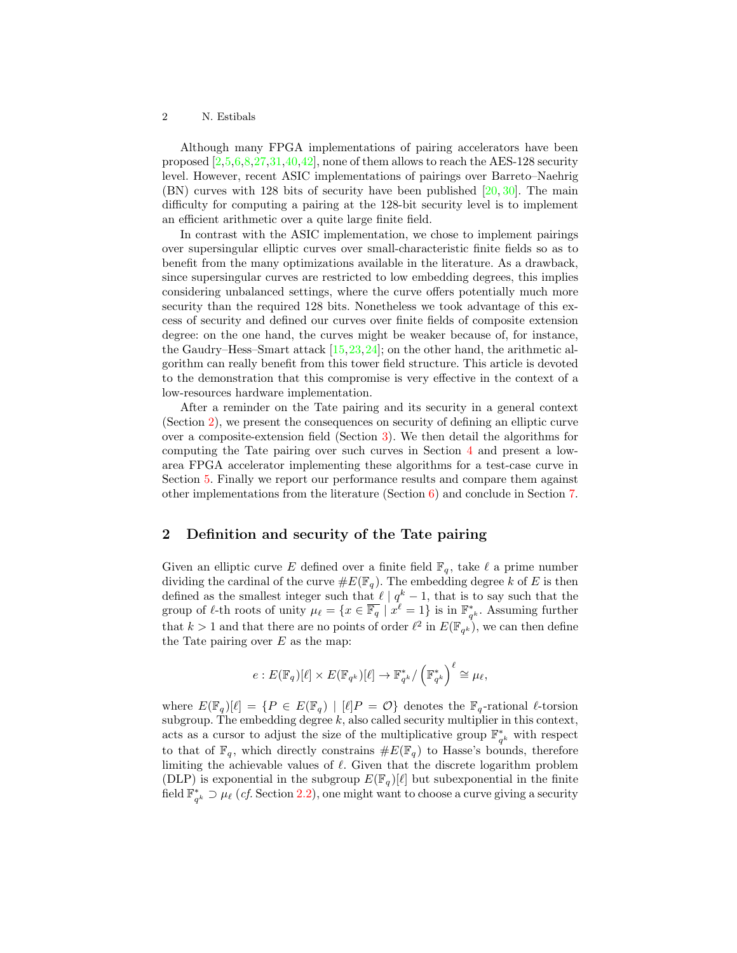Although many FPGA implementations of pairing accelerators have been proposed  $[2,5,6,8,27,31,40,42]$  $[2,5,6,8,27,31,40,42]$  $[2,5,6,8,27,31,40,42]$  $[2,5,6,8,27,31,40,42]$  $[2,5,6,8,27,31,40,42]$  $[2,5,6,8,27,31,40,42]$  $[2,5,6,8,27,31,40,42]$  $[2,5,6,8,27,31,40,42]$ , none of them allows to reach the AES-128 security level. However, recent ASIC implementations of pairings over Barreto–Naehrig (BN) curves with 128 bits of security have been published [\[20,](#page-15-5) [30\]](#page-15-6). The main difficulty for computing a pairing at the 128-bit security level is to implement an efficient arithmetic over a quite large finite field.

In contrast with the ASIC implementation, we chose to implement pairings over supersingular elliptic curves over small-characteristic finite fields so as to benefit from the many optimizations available in the literature. As a drawback, since supersingular curves are restricted to low embedding degrees, this implies considering unbalanced settings, where the curve offers potentially much more security than the required 128 bits. Nonetheless we took advantage of this excess of security and defined our curves over finite fields of composite extension degree: on the one hand, the curves might be weaker because of, for instance, the Gaudry–Hess–Smart attack  $[15, 23, 24]$  $[15, 23, 24]$  $[15, 23, 24]$  $[15, 23, 24]$  $[15, 23, 24]$ ; on the other hand, the arithmetic algorithm can really benefit from this tower field structure. This article is devoted to the demonstration that this compromise is very effective in the context of a low-resources hardware implementation.

After a reminder on the Tate pairing and its security in a general context (Section [2\)](#page-1-0), we present the consequences on security of defining an elliptic curve over a composite-extension field (Section [3\)](#page-3-0). We then detail the algorithms for computing the Tate pairing over such curves in Section [4](#page-5-0) and present a lowarea FPGA accelerator implementing these algorithms for a test-case curve in Section [5.](#page-8-0) Finally we report our performance results and compare them against other implementations from the literature (Section [6\)](#page-11-0) and conclude in Section [7.](#page-12-0)

### <span id="page-1-0"></span>2 Definition and security of the Tate pairing

Given an elliptic curve E defined over a finite field  $\mathbb{F}_q$ , take  $\ell$  a prime number dividing the cardinal of the curve  $\#E(\mathbb{F}_q)$ . The embedding degree k of E is then defined as the smallest integer such that  $\ell | q^k - 1$ , that is to say such that the group of  $\ell$ -th roots of unity  $\mu_{\ell} = \{x \in \overline{\mathbb{F}_q} \mid x^{\overline{\ell}} = 1\}$  is in  $\mathbb{F}_{q^k}^*$ . Assuming further that  $k > 1$  and that there are no points of order  $\ell^2$  in  $E(\mathbb{F}_{q^k})$ , we can then define the Tate pairing over  $E$  as the map:

$$
e: E(\mathbb{F}_q)[\ell] \times E(\mathbb{F}_{q^k})[\ell] \to \mathbb{F}_{q^k}^*/\left(\mathbb{F}_{q^k}^*\right)^{\ell} \cong \mu_{\ell},
$$

where  $E(\mathbb{F}_q)[\ell] = \{P \in E(\mathbb{F}_q) \mid [\ell]P = \mathcal{O}\}\$  denotes the  $\mathbb{F}_q$ -rational  $\ell$ -torsion subgroup. The embedding degree  $k$ , also called security multiplier in this context, acts as a cursor to adjust the size of the multiplicative group  $\mathbb{F}_{q^k}^*$  with respect to that of  $\mathbb{F}_q$ , which directly constrains  $\#E(\mathbb{F}_q)$  to Hasse's bounds, therefore limiting the achievable values of  $\ell$ . Given that the discrete logarithm problem (DLP) is exponential in the subgroup  $E(\mathbb{F}_q)[\ell]$  but subexponential in the finite field  $\mathbb{F}_{q^k}^* \supset \mu_\ell$  (*cf.* Section [2.2\)](#page-3-1), one might want to choose a curve giving a security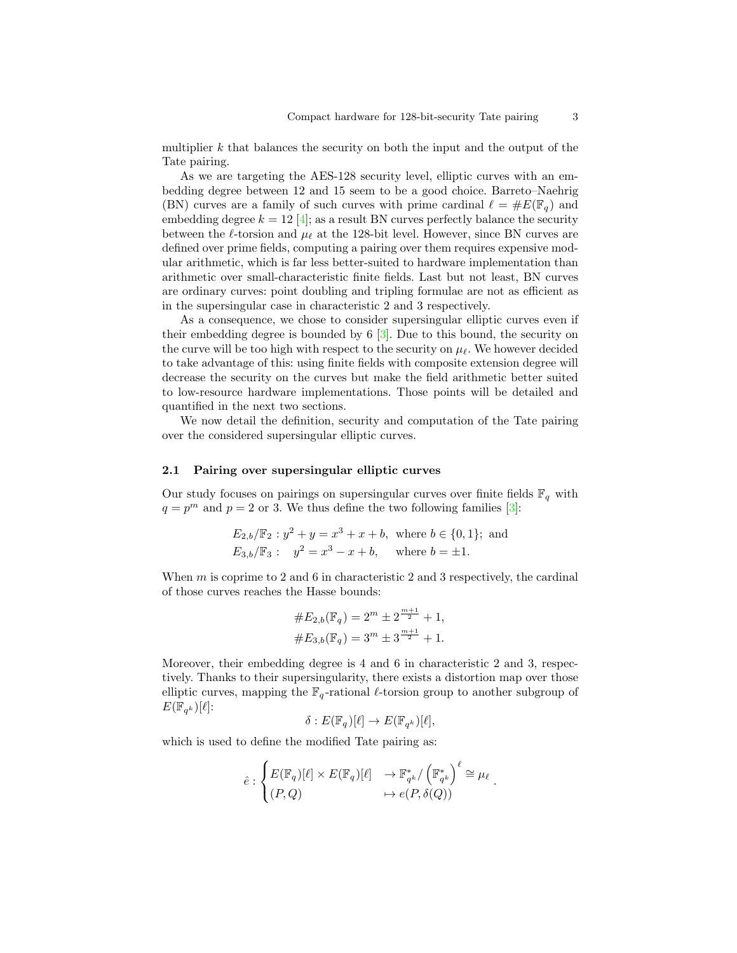multiplier k that balances the security on both the input and the output of the Tate pairing.

As we are targeting the AES-128 security level, elliptic curves with an embedding degree between 12 and 15 seem to be a good choice. Barreto–Naehrig (BN) curves are a family of such curves with prime cardinal  $\ell = \#E(\mathbb{F}_q)$  and embedding degree  $k = 12 \, 4$ ; as a result BN curves perfectly balance the security between the  $\ell$ -torsion and  $\mu_{\ell}$  at the 128-bit level. However, since BN curves are defined over prime fields, computing a pairing over them requires expensive modular arithmetic, which is far less better-suited to hardware implementation than arithmetic over small-characteristic finite fields. Last but not least, BN curves are ordinary curves: point doubling and tripling formulae are not as efficient as in the supersingular case in characteristic 2 and 3 respectively.

As a consequence, we chose to consider supersingular elliptic curves even if their embedding degree is bounded by 6 [\[3\]](#page-14-7). Due to this bound, the security on the curve will be too high with respect to the security on  $\mu_{\ell}$ . We however decided to take advantage of this: using finite fields with composite extension degree will decrease the security on the curves but make the field arithmetic better suited to low-resource hardware implementations. Those points will be detailed and quantified in the next two sections.

We now detail the definition, security and computation of the Tate pairing over the considered supersingular elliptic curves.

### 2.1 Pairing over supersingular elliptic curves

Our study focuses on pairings on supersingular curves over finite fields  $\mathbb{F}_q$  with  $q = p<sup>m</sup>$  and  $p = 2$  or 3. We thus define the two following families [\[3\]](#page-14-7):

$$
E_{2,b}/\mathbb{F}_2: y^2 + y = x^3 + x + b, \text{ where } b \in \{0, 1\}; \text{ and}
$$
  

$$
E_{3,b}/\mathbb{F}_3: y^2 = x^3 - x + b, \text{ where } b = \pm 1.
$$

When  $m$  is coprime to 2 and 6 in characteristic 2 and 3 respectively, the cardinal of those curves reaches the Hasse bounds:

$$
#E_{2,b}(\mathbb{F}_q) = 2^m \pm 2^{\frac{m+1}{2}} + 1,
$$
  

$$
#E_{3,b}(\mathbb{F}_q) = 3^m \pm 3^{\frac{m+1}{2}} + 1.
$$

Moreover, their embedding degree is 4 and 6 in characteristic 2 and 3, respectively. Thanks to their supersingularity, there exists a distortion map over those elliptic curves, mapping the  $\mathbb{F}_q$ -rational  $\ell$ -torsion group to another subgroup of  $E(\overline{\mathbb{F}}_{q^k})[\ell]$ :

$$
\delta: E(\mathbb{F}_q)[\ell] \to E(\mathbb{F}_{q^k})[\ell],
$$

which is used to define the modified Tate pairing as:

$$
\hat{e} : \begin{cases} E(\mathbb{F}_q)[\ell] \times E(\mathbb{F}_q)[\ell] & \to \mathbb{F}_{q^k}^* / \left(\mathbb{F}_{q^k}^*\right)^{\ell} \cong \mu_{\ell} \\ (P,Q) & \mapsto e(P,\delta(Q)) \end{cases}.
$$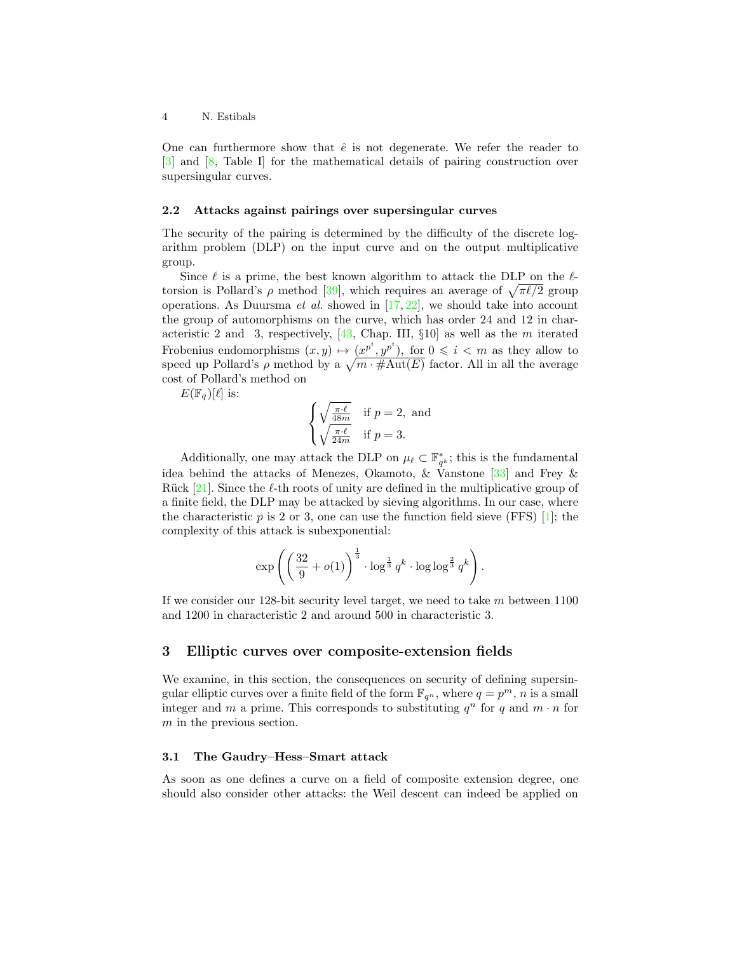One can furthermore show that  $\hat{e}$  is not degenerate. We refer the reader to [\[3\]](#page-14-7) and [\[8,](#page-14-4) Table I] for the mathematical details of pairing construction over supersingular curves.

### <span id="page-3-1"></span>2.2 Attacks against pairings over supersingular curves

The security of the pairing is determined by the difficulty of the discrete logarithm problem (DLP) on the input curve and on the output multiplicative group.

Since  $\ell$  is a prime, the best known algorithm to attack the DLP on the  $\ell$ torsion is Pollard's  $\rho$  method [\[39\]](#page-16-4), which requires an average of  $\sqrt{\pi\ell/2}$  group operations. As Duursma *et al.* showed in  $[17, 22]$  $[17, 22]$  $[17, 22]$ , we should take into account the group of automorphisms on the curve, which has order 24 and 12 in characteristic 2 and 3, respectively,  $[43,$  Chap. III,  $\S10$  as well as the m iterated Frobenius endomorphisms  $(x, y) \mapsto (x^{p^i}, y^{p^i})$ , for  $0 \leq i \leq m$  as they allow to speed up Pollard's  $\rho$  method by a  $\sqrt{m \cdot \# \text{Aut}(E)}$  factor. All in all the average cost of Pollard's method on

 $E(\mathbb{F}_q)[\ell]$  is:

$$
\begin{cases} \sqrt{\frac{\pi \cdot \ell}{48m}} & \text{if } p = 2, \text{ and} \\ \sqrt{\frac{\pi \cdot \ell}{24m}} & \text{if } p = 3. \end{cases}
$$

Additionally, one may attack the DLP on  $\mu_\ell \subset \mathbb{F}_{q^k}^*$ ; this is the fundamental idea behind the attacks of Menezes, Okamoto, & Vanstone [\[33\]](#page-15-0) and Frey & Rück [\[21\]](#page-15-1). Since the  $\ell$ -th roots of unity are defined in the multiplicative group of a finite field, the DLP may be attacked by sieving algorithms. In our case, where the characteristic  $p$  is 2 or 3, one can use the function field sieve (FFS) [\[1\]](#page-13-1); the complexity of this attack is subexponential:

$$
\exp\left(\left(\frac{32}{9} + o(1)\right)^{\frac{1}{3}} \cdot \log^{\frac{1}{3}} q^k \cdot \log \log^{\frac{2}{3}} q^k\right).
$$

If we consider our 128-bit security level target, we need to take  $m$  between 1100 and 1200 in characteristic 2 and around 500 in characteristic 3.

### <span id="page-3-0"></span>3 Elliptic curves over composite-extension fields

We examine, in this section, the consequences on security of defining supersingular elliptic curves over a finite field of the form  $\mathbb{F}_{q^n}$ , where  $q = p^m$ , n is a small integer and m a prime. This corresponds to substituting  $q^n$  for q and  $m \cdot n$  for m in the previous section.

### 3.1 The Gaudry–Hess–Smart attack

As soon as one defines a curve on a field of composite extension degree, one should also consider other attacks: the Weil descent can indeed be applied on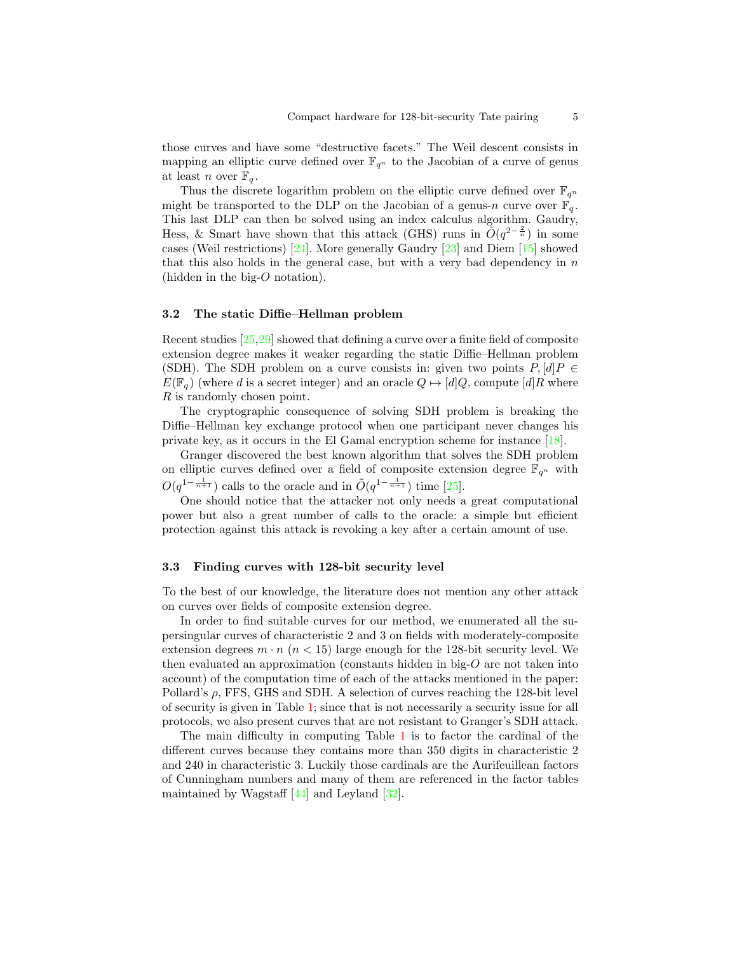those curves and have some "destructive facets." The Weil descent consists in mapping an elliptic curve defined over  $\mathbb{F}_{q^n}$  to the Jacobian of a curve of genus at least n over  $\mathbb{F}_q$ .

Thus the discrete logarithm problem on the elliptic curve defined over  $\mathbb{F}_{q^n}$ might be transported to the DLP on the Jacobian of a genus-n curve over  $\mathbb{F}_q$ . This last DLP can then be solved using an index calculus algorithm. Gaudry, Hess, & Smart have shown that this attack (GHS) runs in  $\tilde{O}(q^{2-\frac{2}{n}})$  in some cases (Weil restrictions) [\[24\]](#page-15-8). More generally Gaudry [\[23\]](#page-15-7) and Diem [\[15\]](#page-14-5) showed that this also holds in the general case, but with a very bad dependency in  $n$ (hidden in the big-O notation).

# 3.2 The static Diffie–Hellman problem

Recent studies [\[25,](#page-15-10)[29\]](#page-15-11) showed that defining a curve over a finite field of composite extension degree makes it weaker regarding the static Diffie–Hellman problem (SDH). The SDH problem on a curve consists in: given two points  $P, [d]P \in$  $E(\mathbb{F}_q)$  (where d is a secret integer) and an oracle  $Q \mapsto [d]Q$ , compute  $[d]R$  where R is randomly chosen point.

The cryptographic consequence of solving SDH problem is breaking the Diffie–Hellman key exchange protocol when one participant never changes his private key, as it occurs in the El Gamal encryption scheme for instance [\[18\]](#page-15-12).

Granger discovered the best known algorithm that solves the SDH problem on elliptic curves defined over a field of composite extension degree  $\mathbb{F}_{q^n}$  with  $O(q^{1-\frac{1}{n+1}})$  calls to the oracle and in  $\tilde{O}(q^{1-\frac{1}{n+1}})$  time [\[25\]](#page-15-10).

One should notice that the attacker not only needs a great computational power but also a great number of calls to the oracle: a simple but efficient protection against this attack is revoking a key after a certain amount of use.

# 3.3 Finding curves with 128-bit security level

To the best of our knowledge, the literature does not mention any other attack on curves over fields of composite extension degree.

In order to find suitable curves for our method, we enumerated all the supersingular curves of characteristic 2 and 3 on fields with moderately-composite extension degrees  $m \cdot n$  ( $n < 15$ ) large enough for the 128-bit security level. We then evaluated an approximation (constants hidden in big-O are not taken into account) of the computation time of each of the attacks mentioned in the paper: Pollard's ρ, FFS, GHS and SDH. A selection of curves reaching the 128-bit level of security is given in Table [1;](#page-5-1) since that is not necessarily a security issue for all protocols, we also present curves that are not resistant to Granger's SDH attack.

The main difficulty in computing Table [1](#page-5-1) is to factor the cardinal of the different curves because they contains more than 350 digits in characteristic 2 and 240 in characteristic 3. Luckily those cardinals are the Aurifeuillean factors of Cunningham numbers and many of them are referenced in the factor tables maintained by Wagstaff [\[44\]](#page-16-6) and Leyland [\[32\]](#page-15-13).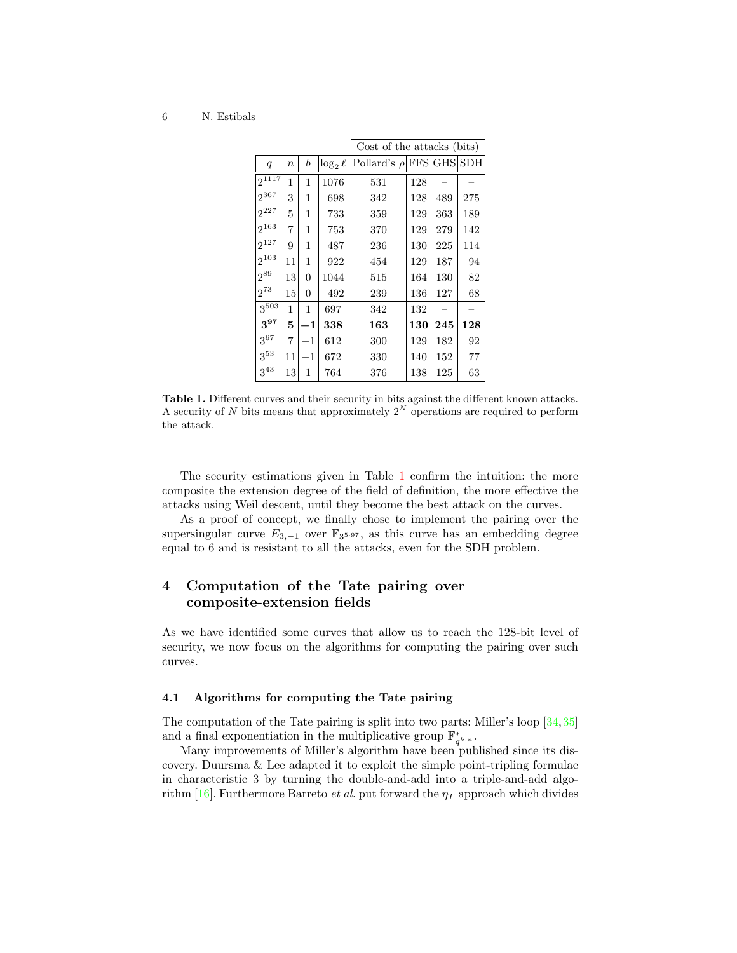|                  |                  |                  |               | Cost of the attacks (bits)   |     |     |     |
|------------------|------------------|------------------|---------------|------------------------------|-----|-----|-----|
| $\boldsymbol{q}$ | $\boldsymbol{n}$ | $\boldsymbol{b}$ | $\log_2 \ell$ | Pollard's $\rho$ FFS GHS SDH |     |     |     |
| $2^{1117}$       | 1                | 1                | 1076          | 531                          | 128 |     |     |
| $2^{367}$        | 3                | 1                | 698           | 342                          | 128 | 489 | 275 |
| $2^{227}$        | 5                | 1                | 733           | 359                          | 129 | 363 | 189 |
| $2^{163}$        | $\overline{7}$   | 1                | 753           | 370                          | 129 | 279 | 142 |
| $2^{127}$        | 9                | 1                | 487           | 236                          | 130 | 225 | 114 |
| $2^{103}$        | 11               | 1                | 922           | 454                          | 129 | 187 | 94  |
| $2^{89}$         | 13               | $\overline{0}$   | 1044          | 515                          | 164 | 130 | 82  |
| $2^{73}$         | 15               | 0                | 492           | 239                          | 136 | 127 | 68  |
| $3^{503}$        | 1                | 1                | 697           | 342                          | 132 |     |     |
| $3^{97}$         | 5                | $\mathbf 1$      | 338           | 163                          | 130 | 245 | 128 |
| $3^{67}$         | $\overline{7}$   | $^{-1}$          | 612           | 300                          | 129 | 182 | 92  |
| $3^{53}$         | 11               | $^{-1}$          | 672           | 330                          | 140 | 152 | 77  |
| $3^{43}$         | 13               | 1                | 764           | 376                          | 138 | 125 | 63  |

<span id="page-5-1"></span>Table 1. Different curves and their security in bits against the different known attacks. A security of N bits means that approximately  $2^N$  operations are required to perform the attack.

The security estimations given in Table [1](#page-5-1) confirm the intuition: the more composite the extension degree of the field of definition, the more effective the attacks using Weil descent, until they become the best attack on the curves.

As a proof of concept, we finally chose to implement the pairing over the supersingular curve  $E_{3,-1}$  over  $\mathbb{F}_{3^{5\cdot 97}}$ , as this curve has an embedding degree equal to 6 and is resistant to all the attacks, even for the SDH problem.

# <span id="page-5-0"></span>4 Computation of the Tate pairing over composite-extension fields

As we have identified some curves that allow us to reach the 128-bit level of security, we now focus on the algorithms for computing the pairing over such curves.

### 4.1 Algorithms for computing the Tate pairing

The computation of the Tate pairing is split into two parts: Miller's loop [\[34,](#page-15-14)[35\]](#page-16-7) and a final exponentiation in the multiplicative group  $\mathbb{F}_{q^{k \cdot n}}^*$ .

Many improvements of Miller's algorithm have been published since its discovery. Duursma & Lee adapted it to exploit the simple point-tripling formulae in characteristic 3 by turning the double-and-add into a triple-and-add algo-rithm [\[16\]](#page-14-9). Furthermore Barreto *et al.* put forward the  $\eta_T$  approach which divides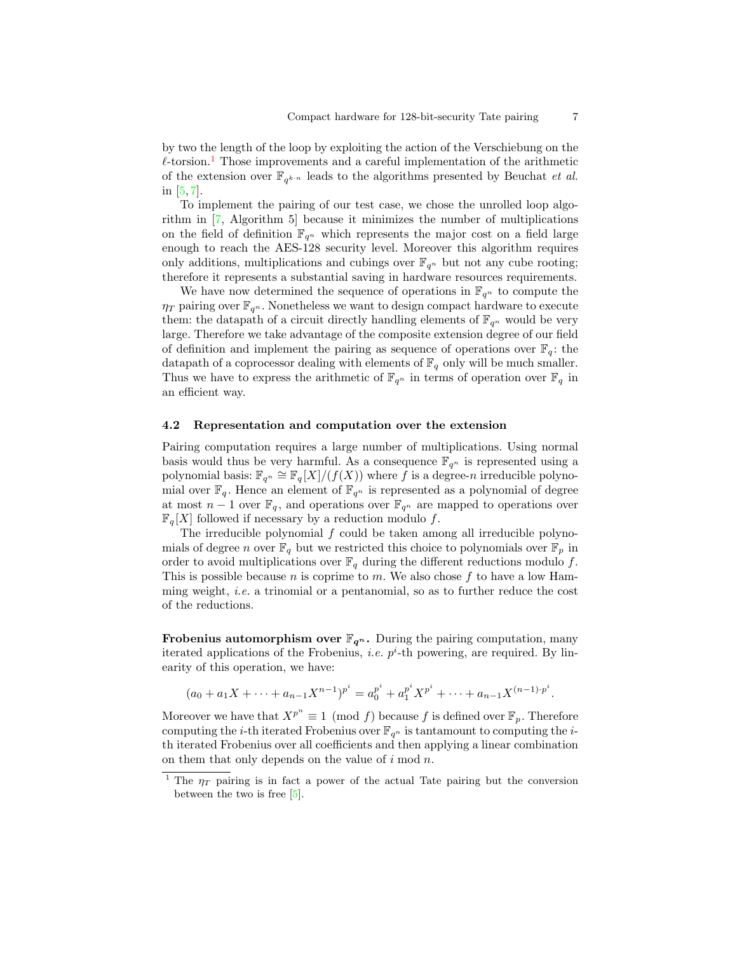by two the length of the loop by exploiting the action of the Verschiebung on the  $\ell$ -torsion.<sup>[1](#page-6-0)</sup> Those improvements and a careful implementation of the arithmetic of the extension over  $\mathbb{F}_{q^{k-n}}$  leads to the algorithms presented by Beuchat *et al.* in [\[5,](#page-14-2) [7\]](#page-14-10).

To implement the pairing of our test case, we chose the unrolled loop algorithm in [\[7,](#page-14-10) Algorithm 5] because it minimizes the number of multiplications on the field of definition  $\mathbb{F}_{q^n}$  which represents the major cost on a field large enough to reach the AES-128 security level. Moreover this algorithm requires only additions, multiplications and cubings over  $\mathbb{F}_{q^n}$  but not any cube rooting; therefore it represents a substantial saving in hardware resources requirements.

We have now determined the sequence of operations in  $\mathbb{F}_{q^n}$  to compute the  $\eta_T$  pairing over  $\mathbb{F}_{q^n}$ . Nonetheless we want to design compact hardware to execute them: the datapath of a circuit directly handling elements of  $\mathbb{F}_{q^n}$  would be very large. Therefore we take advantage of the composite extension degree of our field of definition and implement the pairing as sequence of operations over  $\mathbb{F}_q$ : the datapath of a coprocessor dealing with elements of  $\mathbb{F}_q$  only will be much smaller. Thus we have to express the arithmetic of  $\mathbb{F}_{q^n}$  in terms of operation over  $\mathbb{F}_q$  in an efficient way.

### 4.2 Representation and computation over the extension

Pairing computation requires a large number of multiplications. Using normal basis would thus be very harmful. As a consequence  $\mathbb{F}_{q^n}$  is represented using a polynomial basis:  $\mathbb{F}_{q^n} \cong \mathbb{F}_q[X]/(f(X))$  where f is a degree-n irreducible polynomial over  $\mathbb{F}_q$ . Hence an element of  $\mathbb{F}_{q^n}$  is represented as a polynomial of degree at most  $n-1$  over  $\mathbb{F}_q$ , and operations over  $\mathbb{F}_{q^n}$  are mapped to operations over  $\mathbb{F}_q[X]$  followed if necessary by a reduction modulo f.

The irreducible polynomial  $f$  could be taken among all irreducible polynomials of degree n over  $\mathbb{F}_q$  but we restricted this choice to polynomials over  $\mathbb{F}_p$  in order to avoid multiplications over  $\mathbb{F}_q$  during the different reductions modulo f. This is possible because n is coprime to m. We also chose  $f$  to have a low Hamming weight, i.e. a trinomial or a pentanomial, so as to further reduce the cost of the reductions.

**Frobenius automorphism over**  $\mathbb{F}_{q^n}$ **.** During the pairing computation, many iterated applications of the Frobenius, *i.e.*  $p^i$ -th powering, are required. By linearity of this operation, we have:

$$
(a_0 + a_1X + \dots + a_{n-1}X^{n-1})^{p^i} = a_0^{p^i} + a_1^{p^i}X^{p^i} + \dots + a_{n-1}X^{(n-1)\cdot p^i}.
$$

Moreover we have that  $X^{p^n} \equiv 1 \pmod{f}$  because f is defined over  $\mathbb{F}_p$ . Therefore computing the *i*-th iterated Frobenius over  $\mathbb{F}_{q^n}$  is tantamount to computing the *i*th iterated Frobenius over all coefficients and then applying a linear combination on them that only depends on the value of  $i \mod n$ .

<span id="page-6-0"></span><sup>&</sup>lt;sup>1</sup> The  $\eta_T$  pairing is in fact a power of the actual Tate pairing but the conversion between the two is free [\[5\]](#page-14-2).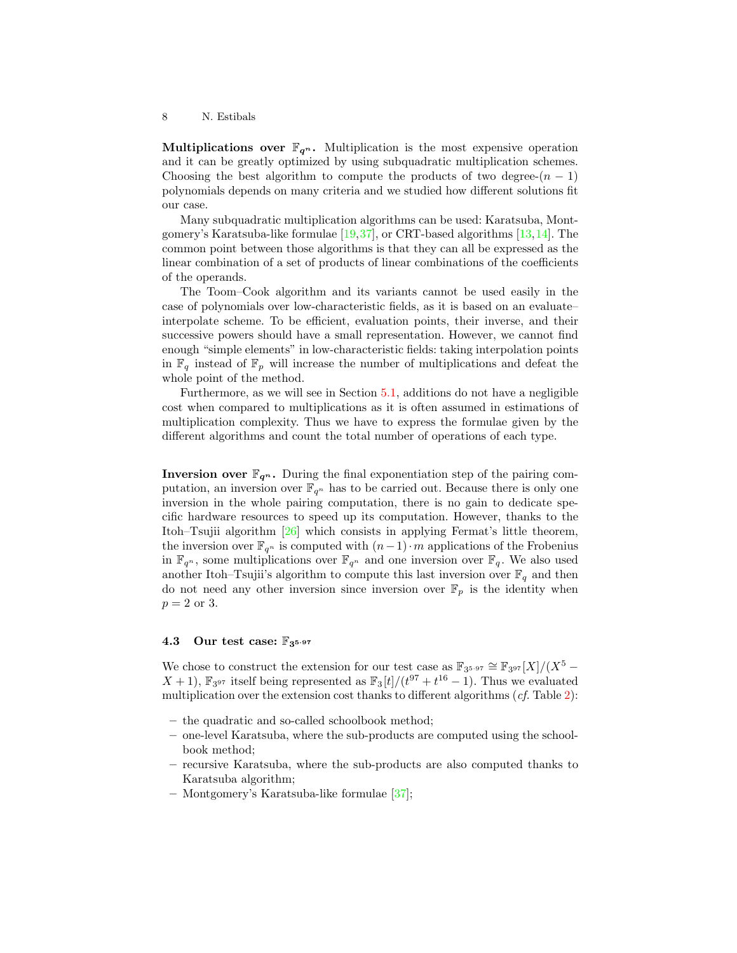**Multiplications over**  $\mathbb{F}_{q^n}$ **.** Multiplication is the most expensive operation and it can be greatly optimized by using subquadratic multiplication schemes. Choosing the best algorithm to compute the products of two degree- $(n - 1)$ polynomials depends on many criteria and we studied how different solutions fit our case.

Many subquadratic multiplication algorithms can be used: Karatsuba, Montgomery's Karatsuba-like formulae [\[19,](#page-15-15)[37\]](#page-16-8), or CRT-based algorithms [\[13,](#page-14-11)[14\]](#page-14-12). The common point between those algorithms is that they can all be expressed as the linear combination of a set of products of linear combinations of the coefficients of the operands.

The Toom–Cook algorithm and its variants cannot be used easily in the case of polynomials over low-characteristic fields, as it is based on an evaluate– interpolate scheme. To be efficient, evaluation points, their inverse, and their successive powers should have a small representation. However, we cannot find enough "simple elements" in low-characteristic fields: taking interpolation points in  $\mathbb{F}_q$  instead of  $\mathbb{F}_p$  will increase the number of multiplications and defeat the whole point of the method.

Furthermore, as we will see in Section [5.1,](#page-8-1) additions do not have a negligible cost when compared to multiplications as it is often assumed in estimations of multiplication complexity. Thus we have to express the formulae given by the different algorithms and count the total number of operations of each type.

**Inversion over**  $\mathbb{F}_{q^n}$ **.** During the final exponentiation step of the pairing computation, an inversion over  $\mathbb{F}_{q^n}$  has to be carried out. Because there is only one inversion in the whole pairing computation, there is no gain to dedicate specific hardware resources to speed up its computation. However, thanks to the Itoh–Tsujii algorithm [\[26\]](#page-15-16) which consists in applying Fermat's little theorem, the inversion over  $\mathbb{F}_{q^n}$  is computed with  $(n-1)\cdot m$  applications of the Frobenius in  $\mathbb{F}_{q^n}$ , some multiplications over  $\mathbb{F}_{q^n}$  and one inversion over  $\mathbb{F}_q$ . We also used another Itoh–Tsujii's algorithm to compute this last inversion over  $\mathbb{F}_q$  and then do not need any other inversion since inversion over  $\mathbb{F}_p$  is the identity when  $p=2$  or 3.

### 4.3 Our test case:  $\mathbb{F}_3$ 5.97

We chose to construct the extension for our test case as  $\mathbb{F}_{3^{5\cdot 97}} \cong \mathbb{F}_{3^{97}}[X]/(X^5 X + 1$ ,  $\mathbb{F}_{3^{97}}$  itself being represented as  $\mathbb{F}_{3}[t]/(t^{97} + t^{16} - 1)$ . Thus we evaluated multiplication over the extension cost thanks to different algorithms  $(cf.$  Table  $2)$ :

- the quadratic and so-called schoolbook method;
- one-level Karatsuba, where the sub-products are computed using the schoolbook method;
- recursive Karatsuba, where the sub-products are also computed thanks to Karatsuba algorithm;
- Montgomery's Karatsuba-like formulae [\[37\]](#page-16-8);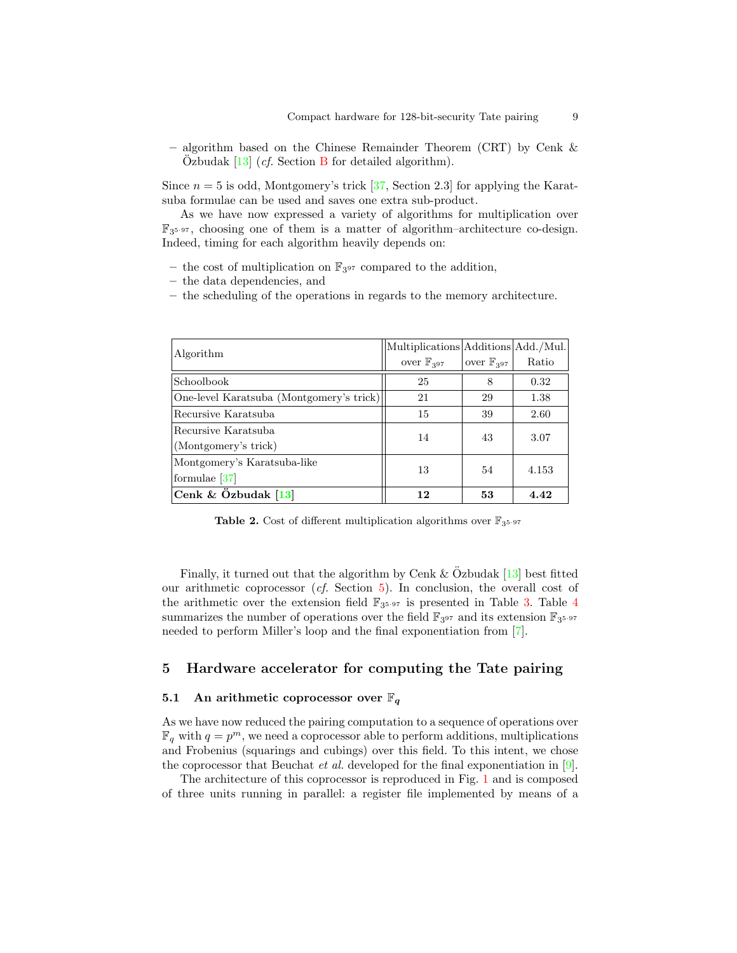– algorithm based on the Chinese Remainder Theorem (CRT) by Cenk & Ozbudak  $[13]$  $[13]$  (*cf.* Section [B](#page-18-0) for detailed algorithm).

Since  $n = 5$  is odd, Montgomery's trick [\[37,](#page-16-8) Section 2.3] for applying the Karatsuba formulae can be used and saves one extra sub-product.

As we have now expressed a variety of algorithms for multiplication over F3 <sup>5</sup>·<sup>97</sup> , choosing one of them is a matter of algorithm–architecture co-design. Indeed, timing for each algorithm heavily depends on:

- the cost of multiplication on  $\mathbb{F}_{3^{97}}$  compared to the addition,
- the data dependencies, and
- the scheduling of the operations in regards to the memory architecture.

| Algorithm                                | Multiplications Additions Add./Mul. |                         |       |
|------------------------------------------|-------------------------------------|-------------------------|-------|
|                                          | over $\mathbb{F}_{397}$             | over $\mathbb{F}_{397}$ | Ratio |
| Schoolbook                               | 25                                  | 8                       | 0.32  |
| One-level Karatsuba (Montgomery's trick) | 21                                  | 29                      | 1.38  |
| Recursive Karatsuba                      | 15                                  | 39                      | 2.60  |
| Recursive Karatsuba                      | 14                                  | 43                      | 3.07  |
| (Montgomery's trick)                     |                                     |                         |       |
| Montgomery's Karatsuba-like              | 13                                  | 54                      | 4.153 |
| formulae $[37]$                          |                                     |                         |       |
| Cenk & $\ddot{O}z$ budak [13]            | 12                                  | 53                      | 4.42  |

<span id="page-8-2"></span>**Table 2.** Cost of different multiplication algorithms over  $\mathbb{F}_{3^{5\cdot 97}}$ 

Finally, it turned out that the algorithm by Cenk  $&$  Ozbudak [[13\]](#page-14-11) best fitted our arithmetic coprocessor (cf. Section [5\)](#page-8-0). In conclusion, the overall cost of the arithmetic over the extension field  $\mathbb{F}_{3^{5\cdot 97}}$  is presented in Table [3.](#page-9-0) Table [4](#page-9-1) summarizes the number of operations over the field  $\mathbb{F}_{3^{97}}$  and its extension  $\mathbb{F}_{3^{5\cdot 97}}$ needed to perform Miller's loop and the final exponentiation from [\[7\]](#page-14-10).

# <span id="page-8-0"></span>5 Hardware accelerator for computing the Tate pairing

### <span id="page-8-1"></span>5.1 An arithmetic coprocessor over  $\mathbb{F}_q$

As we have now reduced the pairing computation to a sequence of operations over  $\mathbb{F}_q$  with  $q = p^m$ , we need a coprocessor able to perform additions, multiplications and Frobenius (squarings and cubings) over this field. To this intent, we chose the coprocessor that Beuchat *et al.* developed for the final exponentiation in [\[9\]](#page-14-13).

The architecture of this coprocessor is reproduced in Fig. [1](#page-10-0) and is composed of three units running in parallel: a register file implemented by means of a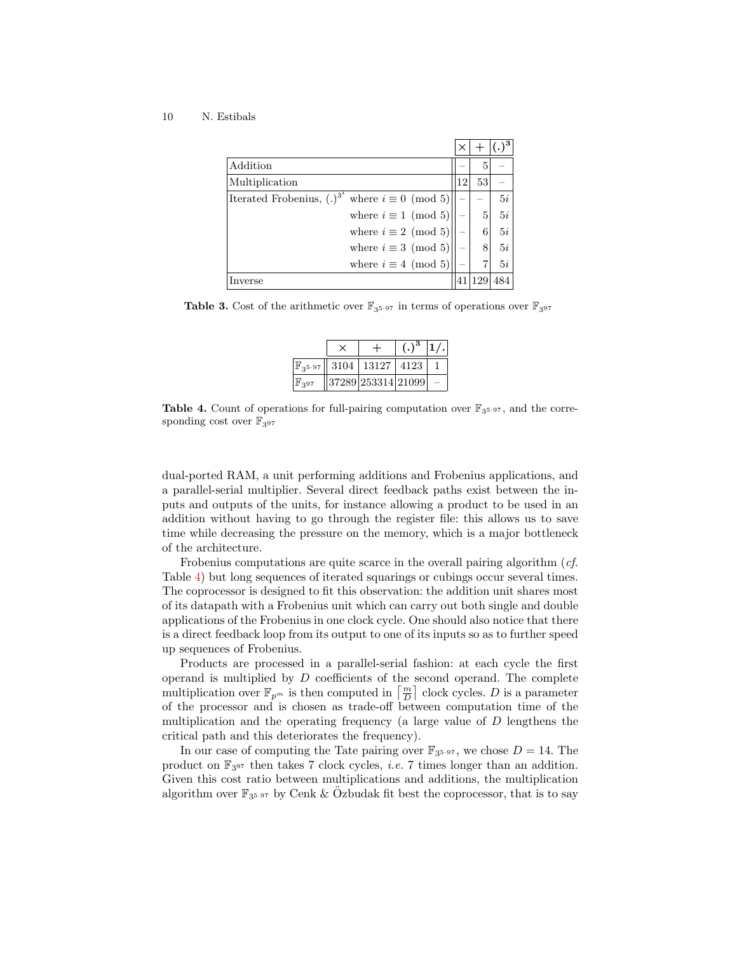| Addition                                                       |    | 5  |    |
|----------------------------------------------------------------|----|----|----|
| Multiplication                                                 | 12 | 53 |    |
| Iterated Frobenius, $(.)^{3^i}$<br>where $i \equiv 0 \pmod{5}$ |    |    | 5i |
| where $i \equiv 1 \pmod{5}$                                    |    | 5  | 5i |
| where $i \equiv 2 \pmod{5}$                                    |    | 6  | 5i |
| where $i \equiv 3 \pmod{5}$                                    |    |    | 5i |
| where $i \equiv 4 \pmod{5}$                                    |    |    | 5i |
|                                                                |    |    |    |

<span id="page-9-0"></span>**Table 3.** Cost of the arithmetic over  $\mathbb{F}_{3^{5\cdot 97}}$  in terms of operations over  $\mathbb{F}_{3^{97}}$ 

|                    |                                           | $(.)^3$ |  |
|--------------------|-------------------------------------------|---------|--|
|                    | $\mathbb{F}_3$ 5.97   3104   13127   4123 |         |  |
| $\mathbb{F}_{397}$ | 37289 253314 21099                        |         |  |

<span id="page-9-1"></span>**Table 4.** Count of operations for full-pairing computation over  $\mathbb{F}_{3^{5\cdot 97}}$ , and the corresponding cost over  $\mathbb{F}_{397}$ 

dual-ported RAM, a unit performing additions and Frobenius applications, and a parallel-serial multiplier. Several direct feedback paths exist between the inputs and outputs of the units, for instance allowing a product to be used in an addition without having to go through the register file: this allows us to save time while decreasing the pressure on the memory, which is a major bottleneck of the architecture.

Frobenius computations are quite scarce in the overall pairing algorithm (cf. Table [4\)](#page-9-1) but long sequences of iterated squarings or cubings occur several times. The coprocessor is designed to fit this observation: the addition unit shares most of its datapath with a Frobenius unit which can carry out both single and double applications of the Frobenius in one clock cycle. One should also notice that there is a direct feedback loop from its output to one of its inputs so as to further speed up sequences of Frobenius.

Products are processed in a parallel-serial fashion: at each cycle the first operand is multiplied by  $D$  coefficients of the second operand. The complete multiplication over  $\mathbb{F}_{p^m}$  is then computed in  $\left\lceil \frac{m}{D} \right\rceil$  clock cycles. D is a parameter of the processor and is chosen as trade-off between computation time of the multiplication and the operating frequency (a large value of D lengthens the critical path and this deteriorates the frequency).

In our case of computing the Tate pairing over  $\mathbb{F}_{3^{5\cdot 97}}$ , we chose  $D = 14$ . The product on  $\mathbb{F}_{3^{97}}$  then takes 7 clock cycles, *i.e.* 7 times longer than an addition. Given this cost ratio between multiplications and additions, the multiplication algorithm over  $\mathbb{F}_{3^{5\cdot 97}}$  by Cenk & Özbudak fit best the coprocessor, that is to say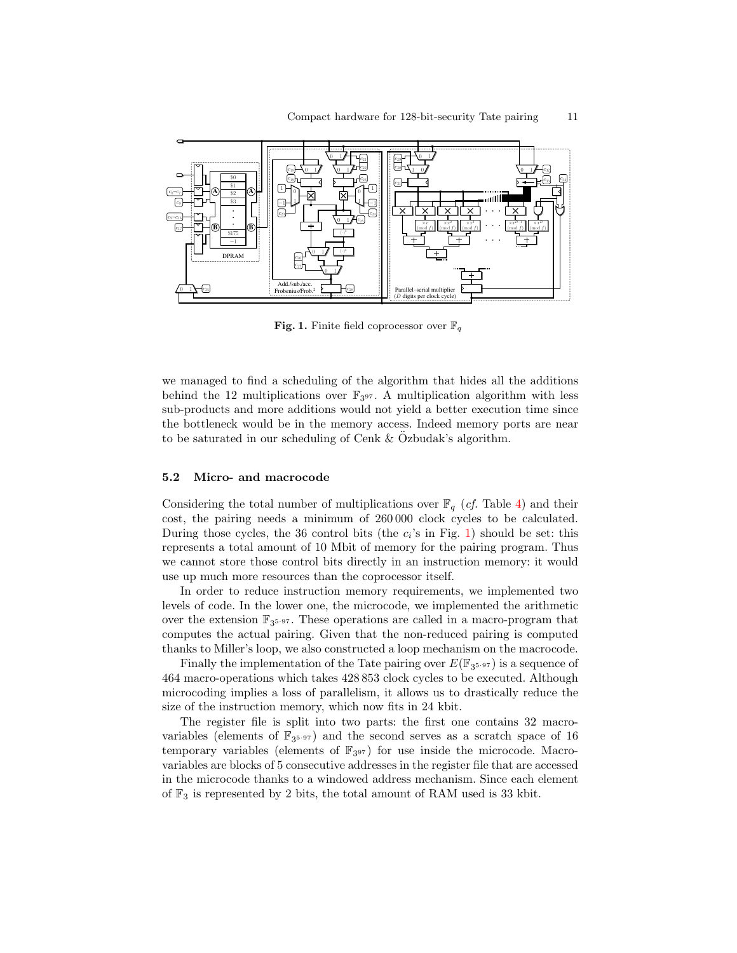

<span id="page-10-0"></span>**Fig. 1.** Finite field coprocessor over  $\mathbb{F}_q$ 

we managed to find a scheduling of the algorithm that hides all the additions behind the 12 multiplications over  $\mathbb{F}_{3^{97}}$ . A multiplication algorithm with less sub-products and more additions would not yield a better execution time since the bottleneck would be in the memory access. Indeed memory ports are near to be saturated in our scheduling of Cenk  $&$  Ozbudak's algorithm.

### 5.2 Micro- and macrocode

Considering the total number of multiplications over  $\mathbb{F}_q$  (*cf.* Table [4\)](#page-9-1) and their cost, the pairing needs a minimum of 260 000 clock cycles to be calculated. During those cycles, the 36 control bits (the  $c_i$ 's in Fig. [1\)](#page-10-0) should be set: this represents a total amount of 10 Mbit of memory for the pairing program. Thus we cannot store those control bits directly in an instruction memory: it would use up much more resources than the coprocessor itself.

In order to reduce instruction memory requirements, we implemented two levels of code. In the lower one, the microcode, we implemented the arithmetic over the extension F<sup>3</sup> <sup>5</sup>·<sup>97</sup> . These operations are called in a macro-program that computes the actual pairing. Given that the non-reduced pairing is computed thanks to Miller's loop, we also constructed a loop mechanism on the macrocode.

Finally the implementation of the Tate pairing over  $E(\mathbb{F}_{3^{5\cdot 97}})$  is a sequence of 464 macro-operations which takes 428 853 clock cycles to be executed. Although microcoding implies a loss of parallelism, it allows us to drastically reduce the size of the instruction memory, which now fits in 24 kbit.

The register file is split into two parts: the first one contains 32 macrovariables (elements of  $\mathbb{F}_{3^{5\cdot 97}}$ ) and the second serves as a scratch space of 16 temporary variables (elements of  $\mathbb{F}_{3^{97}}$ ) for use inside the microcode. Macrovariables are blocks of 5 consecutive addresses in the register file that are accessed in the microcode thanks to a windowed address mechanism. Since each element of  $\mathbb{F}_3$  is represented by 2 bits, the total amount of RAM used is 33 kbit.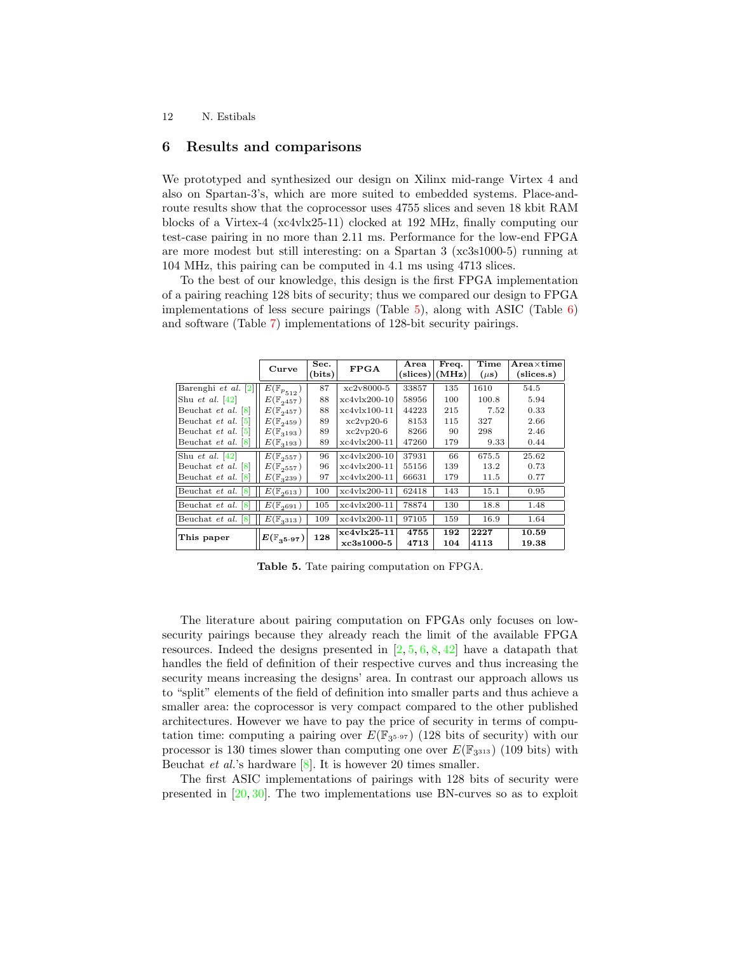### <span id="page-11-0"></span>6 Results and comparisons

We prototyped and synthesized our design on Xilinx mid-range Virtex 4 and also on Spartan-3's, which are more suited to embedded systems. Place-androute results show that the coprocessor uses 4755 slices and seven 18 kbit RAM blocks of a Virtex-4 (xc4vlx25-11) clocked at 192 MHz, finally computing our test-case pairing in no more than 2.11 ms. Performance for the low-end FPGA are more modest but still interesting: on a Spartan 3 (xc3s1000-5) running at 104 MHz, this pairing can be computed in 4.1 ms using 4713 slices.

To the best of our knowledge, this design is the first FPGA implementation of a pairing reaching 128 bits of security; thus we compared our design to FPGA implementations of less secure pairings (Table  $5$ ), along with ASIC (Table  $6$ ) and software (Table [7\)](#page-12-2) implementations of 128-bit security pairings.

|                                       | Curve                                | Sec.<br>(bits) | <b>FPGA</b>    | Area<br>(slices) | Freq.<br>(MHz) | Time<br>$(\mu s)$ | $_{\rm Area\times time}$<br>(slices.s) |
|---------------------------------------|--------------------------------------|----------------|----------------|------------------|----------------|-------------------|----------------------------------------|
| Barenghi et al. $[2]$                 | $\overline{E}(\mathbb{F}_{p_{512}})$ | 87             | $xc2v8000-5$   | 33857            | 135            | 1610              | 54.5                                   |
| Shu et al. $[42]$                     | $E(\mathbb{F}_{2457})$               | 88             | $xc4v1x200-10$ | 58956            | 100            | 100.8             | 5.94                                   |
| Beuchat et al. $[8]$                  | $E(\mathbb{F}_{2457})$               | 88             | xc4vlx100-11   | 44223            | 215            | 7.52              | 0.33                                   |
| Beuchat <i>et al.</i> [5]             | $E(\mathbb{F}_{2459})$               | 89             | $xc2vp20-6$    | 8153             | 115            | 327               | 2.66                                   |
| Beuchat <i>et al.</i> [5]             | $E(\mathbb{F}_{3193})$               | 89             | $xc2vp20-6$    | 8266             | 90             | 298               | 2.46                                   |
| Beuchat et al. [8]                    | $E(\mathbb{F}_{3193})$               | 89             | xc4vlx200-11   | 47260            | 179            | 9.33              | 0.44                                   |
| Shu et al. $ 42 $                     | $E(\mathbb{F}_{2^{557}})$            | 96             | $xc4v1x200-10$ | 37931            | 66             | 675.5             | 25.62                                  |
| Beuchat <i>et al.</i> $\vert 8 \vert$ | $E(\mathbb{F}_{2557})$               | 96             | xc4vlx200-11   | 55156            | 139            | 13.2              | 0.73                                   |
| Beuchat et al. [8]                    | $E(\mathbb{F}_{3239})$               | 97             | xc4vlx200-11   | 66631            | 179            | 11.5              | 0.77                                   |
| Beuchat et al. [8]                    | $E(\mathbb{F}_{2613})$               | 100            | $xc4v1x200-11$ | 62418            | 143            | 15.1              | 0.95                                   |
| Beuchat et al.<br>18                  | $E(\mathbb{F}_{2691})$               | 105            | $xc4v1x200-11$ | 78874            | 130            | 18.8              | 1.48                                   |
| Beuchat et al. [8]                    | $E(\mathbb{F}_{3313})$               | 109            | xc4vlx200-11   | 97105            | 159            | 16.9              | 1.64                                   |
| This paper                            | $E(\mathbb{F}_{35\cdot 97})$         | 128            | $xc4v1x25-11$  | 4755             | 192            | 2227              | 10.59                                  |
|                                       |                                      |                | xc3s1000-5     | 4713             | 104            | 4113              | 19.38                                  |

Table 5. Tate pairing computation on FPGA.

<span id="page-11-1"></span>The literature about pairing computation on FPGAs only focuses on lowsecurity pairings because they already reach the limit of the available FPGA resources. Indeed the designs presented in  $[2, 5, 6, 8, 42]$  $[2, 5, 6, 8, 42]$  $[2, 5, 6, 8, 42]$  $[2, 5, 6, 8, 42]$  $[2, 5, 6, 8, 42]$  $[2, 5, 6, 8, 42]$  $[2, 5, 6, 8, 42]$  $[2, 5, 6, 8, 42]$  $[2, 5, 6, 8, 42]$  have a datapath that handles the field of definition of their respective curves and thus increasing the security means increasing the designs' area. In contrast our approach allows us to "split" elements of the field of definition into smaller parts and thus achieve a smaller area: the coprocessor is very compact compared to the other published architectures. However we have to pay the price of security in terms of computation time: computing a pairing over  $E(\mathbb{F}_{3^{5\cdot 97}})$  (128 bits of security) with our processor is 130 times slower than computing one over  $E(\mathbb{F}_{3^{313}})$  (109 bits) with Beuchat *et al.*'s hardware  $[8]$ . It is however 20 times smaller.

The first ASIC implementations of pairings with 128 bits of security were presented in  $[20, 30]$  $[20, 30]$  $[20, 30]$ . The two implementations use BN-curves so as to exploit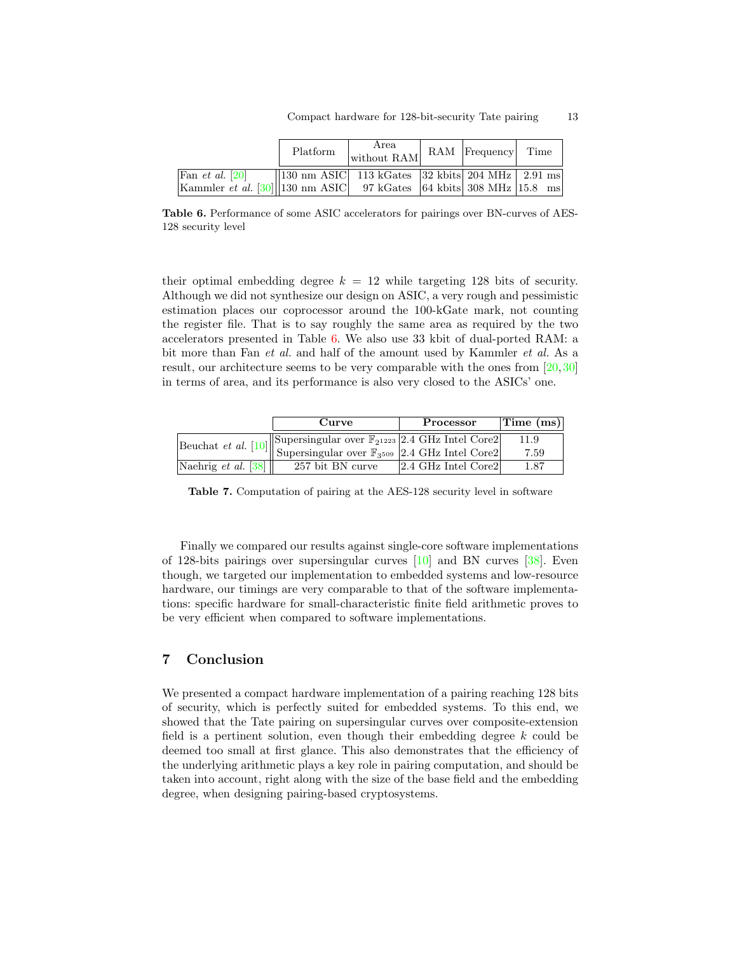|                                                                                                     | Platform | Area<br>without RAM                                     | RAM Frequency Time |  |
|-----------------------------------------------------------------------------------------------------|----------|---------------------------------------------------------|--------------------|--|
| Fan <i>et al.</i> [20]<br>Kammler <i>et al.</i> [30] 130 nm ASIC 97 kGates 64 kbits 308 MHz 15.8 ms |          | $\vert$ 130 nm ASIC 113 kGates 32 kbits 204 MHz 2.91 ms |                    |  |

<span id="page-12-1"></span>Table 6. Performance of some ASIC accelerators for pairings over BN-curves of AES-128 security level

their optimal embedding degree  $k = 12$  while targeting 128 bits of security. Although we did not synthesize our design on ASIC, a very rough and pessimistic estimation places our coprocessor around the 100-kGate mark, not counting the register file. That is to say roughly the same area as required by the two accelerators presented in Table [6.](#page-12-1) We also use 33 kbit of dual-ported RAM: a bit more than Fan et al. and half of the amount used by Kammler et al. As a result, our architecture seems to be very comparable with the ones from [\[20,](#page-15-5)[30\]](#page-15-6) in terms of area, and its performance is also very closed to the ASICs' one.

|                                         | Curve                                                                                             | Processor           | $\vert$ Time (ms) $\vert$ |
|-----------------------------------------|---------------------------------------------------------------------------------------------------|---------------------|---------------------------|
|                                         | Supersingular over $\mathbb{F}_{2^{1223}}$ 2.4 GHz Intel Core2                                    |                     | 11.9                      |
|                                         | Beuchat et al. [10] Supersingular over $\frac{\mathbb{F}_{3^{509}}}{2.4 \text{ GHz Intel Core2}}$ |                     | 7.59                      |
| Naehrig <i>et al.</i> $\left 38\right $ | 257 bit BN curve                                                                                  | 2.4 GHz Intel Core2 | 1.87                      |

<span id="page-12-2"></span>Table 7. Computation of pairing at the AES-128 security level in software

Finally we compared our results against single-core software implementations of 128-bits pairings over supersingular curves [\[10\]](#page-14-14) and BN curves [\[38\]](#page-16-9). Even though, we targeted our implementation to embedded systems and low-resource hardware, our timings are very comparable to that of the software implementations: specific hardware for small-characteristic finite field arithmetic proves to be very efficient when compared to software implementations.

# <span id="page-12-0"></span>7 Conclusion

We presented a compact hardware implementation of a pairing reaching 128 bits of security, which is perfectly suited for embedded systems. To this end, we showed that the Tate pairing on supersingular curves over composite-extension field is a pertinent solution, even though their embedding degree  $k$  could be deemed too small at first glance. This also demonstrates that the efficiency of the underlying arithmetic plays a key role in pairing computation, and should be taken into account, right along with the size of the base field and the embedding degree, when designing pairing-based cryptosystems.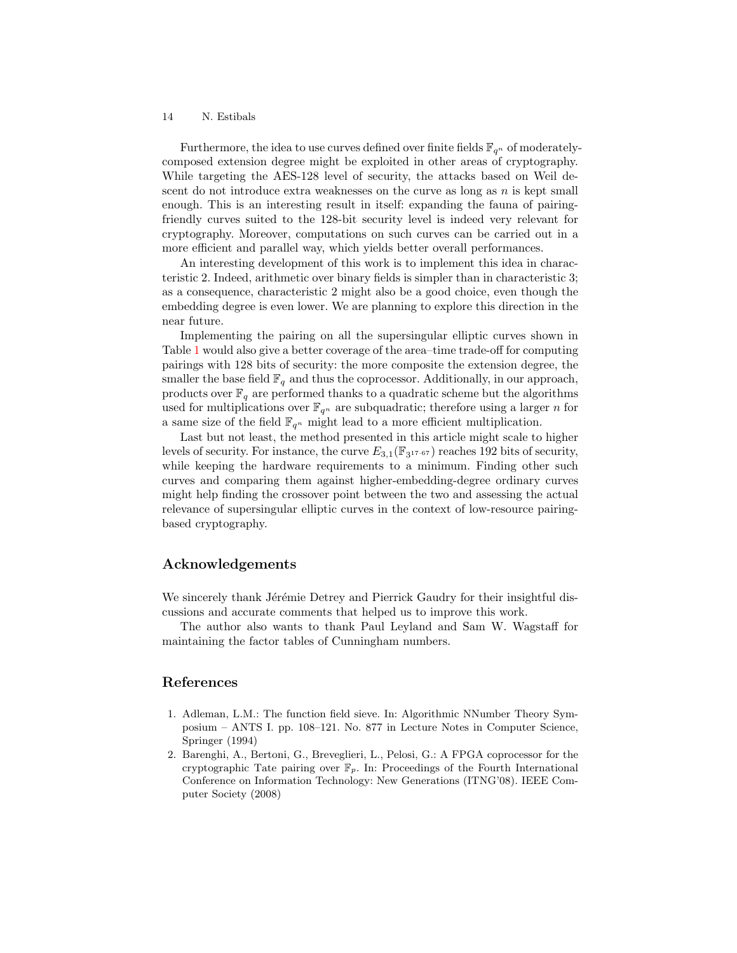Furthermore, the idea to use curves defined over finite fields  $\mathbb{F}_{q^n}$  of moderatelycomposed extension degree might be exploited in other areas of cryptography. While targeting the AES-128 level of security, the attacks based on Weil descent do not introduce extra weaknesses on the curve as long as  $n$  is kept small enough. This is an interesting result in itself: expanding the fauna of pairingfriendly curves suited to the 128-bit security level is indeed very relevant for cryptography. Moreover, computations on such curves can be carried out in a more efficient and parallel way, which yields better overall performances.

An interesting development of this work is to implement this idea in characteristic 2. Indeed, arithmetic over binary fields is simpler than in characteristic 3; as a consequence, characteristic 2 might also be a good choice, even though the embedding degree is even lower. We are planning to explore this direction in the near future.

Implementing the pairing on all the supersingular elliptic curves shown in Table [1](#page-5-1) would also give a better coverage of the area–time trade-off for computing pairings with 128 bits of security: the more composite the extension degree, the smaller the base field  $\mathbb{F}_q$  and thus the coprocessor. Additionally, in our approach, products over  $\mathbb{F}_q$  are performed thanks to a quadratic scheme but the algorithms used for multiplications over  $\mathbb{F}_{q^n}$  are subquadratic; therefore using a larger n for a same size of the field  $\mathbb{F}_{q^n}$  might lead to a more efficient multiplication.

Last but not least, the method presented in this article might scale to higher levels of security. For instance, the curve  $E_{3,1}(\mathbb{F}_{3^{17}} \cdot \epsilon_7)$  reaches 192 bits of security, while keeping the hardware requirements to a minimum. Finding other such curves and comparing them against higher-embedding-degree ordinary curves might help finding the crossover point between the two and assessing the actual relevance of supersingular elliptic curves in the context of low-resource pairingbased cryptography.

### Acknowledgements

We sincerely thank Jérémie Detrey and Pierrick Gaudry for their insightful discussions and accurate comments that helped us to improve this work.

The author also wants to thank Paul Leyland and Sam W. Wagstaff for maintaining the factor tables of Cunningham numbers.

### References

- <span id="page-13-1"></span>1. Adleman, L.M.: The function field sieve. In: Algorithmic NNumber Theory Symposium – ANTS I. pp. 108–121. No. 877 in Lecture Notes in Computer Science, Springer (1994)
- <span id="page-13-0"></span>2. Barenghi, A., Bertoni, G., Breveglieri, L., Pelosi, G.: A FPGA coprocessor for the cryptographic Tate pairing over  $\mathbb{F}_p$ . In: Proceedings of the Fourth International Conference on Information Technology: New Generations (ITNG'08). IEEE Computer Society (2008)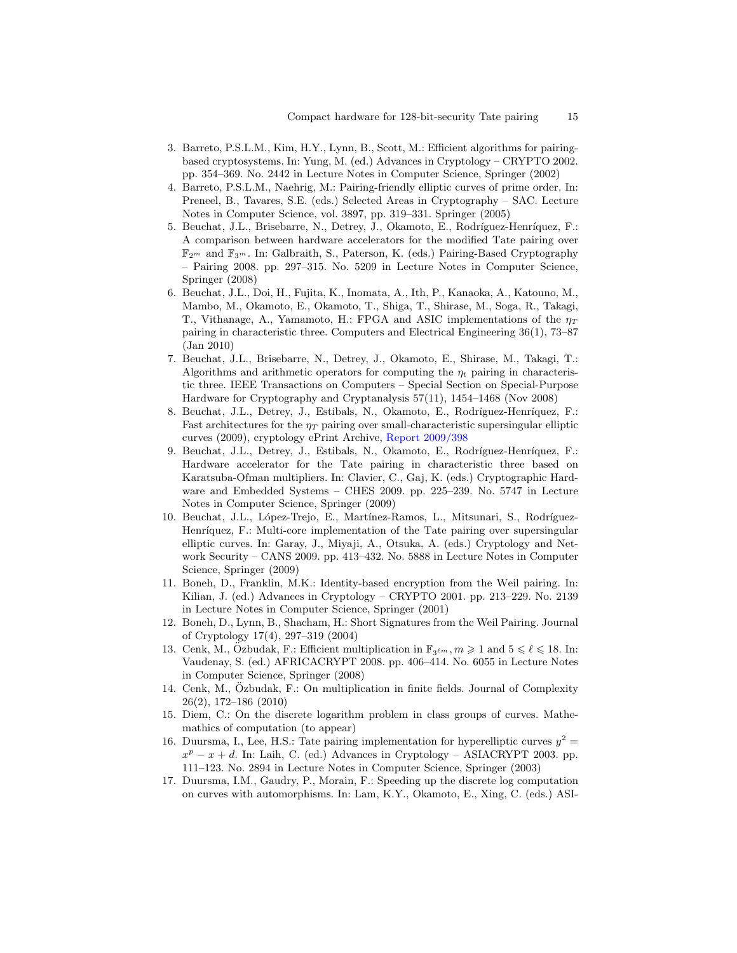- <span id="page-14-7"></span>3. Barreto, P.S.L.M., Kim, H.Y., Lynn, B., Scott, M.: Efficient algorithms for pairingbased cryptosystems. In: Yung, M. (ed.) Advances in Cryptology – CRYPTO 2002. pp. 354–369. No. 2442 in Lecture Notes in Computer Science, Springer (2002)
- <span id="page-14-6"></span>4. Barreto, P.S.L.M., Naehrig, M.: Pairing-friendly elliptic curves of prime order. In: Preneel, B., Tavares, S.E. (eds.) Selected Areas in Cryptography – SAC. Lecture Notes in Computer Science, vol. 3897, pp. 319–331. Springer (2005)
- <span id="page-14-2"></span>5. Beuchat, J.L., Brisebarre, N., Detrey, J., Okamoto, E., Rodríguez-Henríquez, F.: A comparison between hardware accelerators for the modified Tate pairing over  $\mathbb{F}_{2^m}$  and  $\mathbb{F}_{3^m}$ . In: Galbraith, S., Paterson, K. (eds.) Pairing-Based Cryptography – Pairing 2008. pp. 297–315. No. 5209 in Lecture Notes in Computer Science, Springer (2008)
- <span id="page-14-3"></span>6. Beuchat, J.L., Doi, H., Fujita, K., Inomata, A., Ith, P., Kanaoka, A., Katouno, M., Mambo, M., Okamoto, E., Okamoto, T., Shiga, T., Shirase, M., Soga, R., Takagi, T., Vithanage, A., Yamamoto, H.: FPGA and ASIC implementations of the  $\eta_T$ pairing in characteristic three. Computers and Electrical Engineering 36(1), 73–87 (Jan 2010)
- <span id="page-14-10"></span>7. Beuchat, J.L., Brisebarre, N., Detrey, J., Okamoto, E., Shirase, M., Takagi, T.: Algorithms and arithmetic operators for computing the  $\eta_t$  pairing in characteristic three. IEEE Transactions on Computers – Special Section on Special-Purpose Hardware for Cryptography and Cryptanalysis 57(11), 1454–1468 (Nov 2008)
- <span id="page-14-4"></span>8. Beuchat, J.L., Detrey, J., Estibals, N., Okamoto, E., Rodríguez-Henríquez, F.: Fast architectures for the  $\eta_T$  pairing over small-characteristic supersingular elliptic curves (2009), cryptology ePrint Archive, [Report 2009/398](http://eprint.iacr.org/2009/398)
- <span id="page-14-13"></span>9. Beuchat, J.L., Detrey, J., Estibals, N., Okamoto, E., Rodríguez-Henríquez, F.: Hardware accelerator for the Tate pairing in characteristic three based on Karatsuba-Ofman multipliers. In: Clavier, C., Gaj, K. (eds.) Cryptographic Hardware and Embedded Systems – CHES 2009. pp. 225–239. No. 5747 in Lecture Notes in Computer Science, Springer (2009)
- <span id="page-14-14"></span>10. Beuchat, J.L., López-Trejo, E., Martínez-Ramos, L., Mitsunari, S., Rodríguez-Henríquez, F.: Multi-core implementation of the Tate pairing over supersingular elliptic curves. In: Garay, J., Miyaji, A., Otsuka, A. (eds.) Cryptology and Network Security – CANS 2009. pp. 413–432. No. 5888 in Lecture Notes in Computer Science, Springer (2009)
- <span id="page-14-0"></span>11. Boneh, D., Franklin, M.K.: Identity-based encryption from the Weil pairing. In: Kilian, J. (ed.) Advances in Cryptology – CRYPTO 2001. pp. 213–229. No. 2139 in Lecture Notes in Computer Science, Springer (2001)
- <span id="page-14-1"></span>12. Boneh, D., Lynn, B., Shacham, H.: Short Signatures from the Weil Pairing. Journal of Cryptology 17(4), 297–319 (2004)
- <span id="page-14-11"></span>13. Cenk, M., Ozbudak, F.: Efficient multiplication in  $\mathbb{F}_{3^{km}}$ ,  $m \geq 1$  and  $5 \leq \ell \leq 18$ . In: Vaudenay, S. (ed.) AFRICACRYPT 2008. pp. 406–414. No. 6055 in Lecture Notes in Computer Science, Springer (2008)
- <span id="page-14-12"></span>14. Cenk, M., Ozbudak, F.: On multiplication in finite fields. Journal of Complexity ¨ 26(2), 172–186 (2010)
- <span id="page-14-5"></span>15. Diem, C.: On the discrete logarithm problem in class groups of curves. Mathemathics of computation (to appear)
- <span id="page-14-9"></span>16. Duursma, I., Lee, H.S.: Tate pairing implementation for hyperelliptic curves  $y^2 =$  $x^p - x + d$ . In: Laih, C. (ed.) Advances in Cryptology – ASIACRYPT 2003. pp. 111–123. No. 2894 in Lecture Notes in Computer Science, Springer (2003)
- <span id="page-14-8"></span>17. Duursma, I.M., Gaudry, P., Morain, F.: Speeding up the discrete log computation on curves with automorphisms. In: Lam, K.Y., Okamoto, E., Xing, C. (eds.) ASI-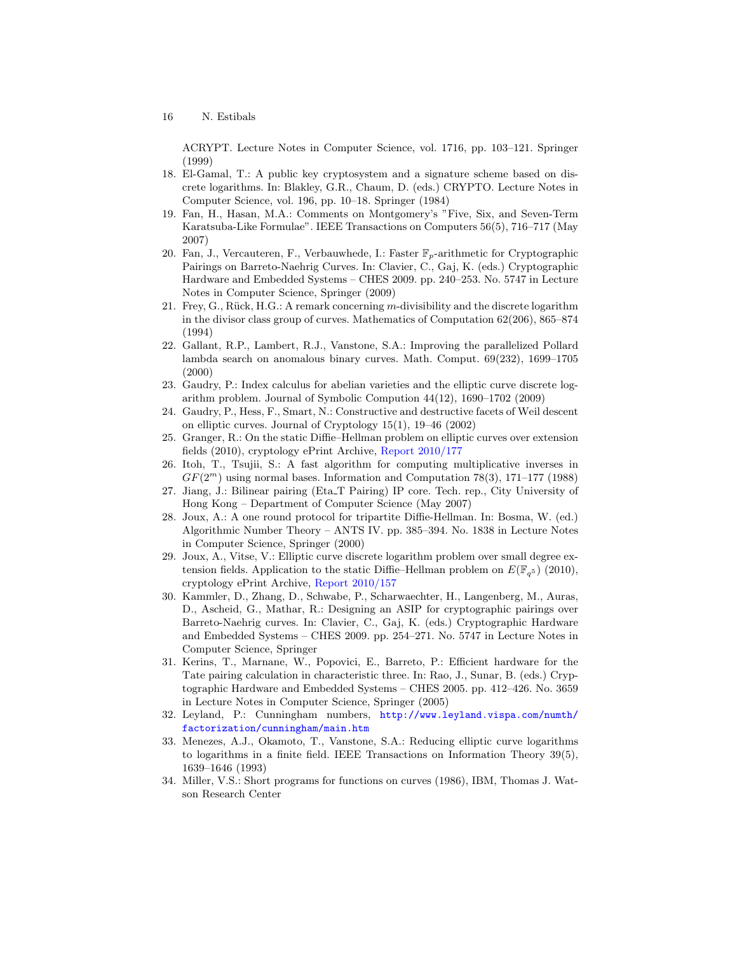ACRYPT. Lecture Notes in Computer Science, vol. 1716, pp. 103–121. Springer (1999)

- <span id="page-15-12"></span>18. El-Gamal, T.: A public key cryptosystem and a signature scheme based on discrete logarithms. In: Blakley, G.R., Chaum, D. (eds.) CRYPTO. Lecture Notes in Computer Science, vol. 196, pp. 10–18. Springer (1984)
- <span id="page-15-15"></span>19. Fan, H., Hasan, M.A.: Comments on Montgomery's "Five, Six, and Seven-Term Karatsuba-Like Formulae". IEEE Transactions on Computers 56(5), 716–717 (May 2007)
- <span id="page-15-5"></span>20. Fan, J., Vercauteren, F., Verbauwhede, I.: Faster  $\mathbb{F}_p$ -arithmetic for Cryptographic Pairings on Barreto-Naehrig Curves. In: Clavier, C., Gaj, K. (eds.) Cryptographic Hardware and Embedded Systems – CHES 2009. pp. 240–253. No. 5747 in Lecture Notes in Computer Science, Springer (2009)
- <span id="page-15-1"></span>21. Frey, G., R¨uck, H.G.: A remark concerning m-divisibility and the discrete logarithm in the divisor class group of curves. Mathematics of Computation 62(206), 865–874 (1994)
- <span id="page-15-9"></span>22. Gallant, R.P., Lambert, R.J., Vanstone, S.A.: Improving the parallelized Pollard lambda search on anomalous binary curves. Math. Comput. 69(232), 1699–1705 (2000)
- <span id="page-15-7"></span>23. Gaudry, P.: Index calculus for abelian varieties and the elliptic curve discrete logarithm problem. Journal of Symbolic Compution 44(12), 1690–1702 (2009)
- <span id="page-15-8"></span>24. Gaudry, P., Hess, F., Smart, N.: Constructive and destructive facets of Weil descent on elliptic curves. Journal of Cryptology 15(1), 19–46 (2002)
- <span id="page-15-10"></span>25. Granger, R.: On the static Diffie–Hellman problem on elliptic curves over extension fields (2010), cryptology ePrint Archive, [Report 2010/177](http://eprint.iacr.org/2010/177)
- <span id="page-15-16"></span>26. Itoh, T., Tsujii, S.: A fast algorithm for computing multiplicative inverses in  $GF(2<sup>m</sup>)$  using normal bases. Information and Computation 78(3), 171–177 (1988)
- <span id="page-15-3"></span>27. Jiang, J.: Bilinear pairing (Eta T Pairing) IP core. Tech. rep., City University of Hong Kong – Department of Computer Science (May 2007)
- <span id="page-15-2"></span>28. Joux, A.: A one round protocol for tripartite Diffie-Hellman. In: Bosma, W. (ed.) Algorithmic Number Theory – ANTS IV. pp. 385–394. No. 1838 in Lecture Notes in Computer Science, Springer (2000)
- <span id="page-15-11"></span>29. Joux, A., Vitse, V.: Elliptic curve discrete logarithm problem over small degree extension fields. Application to the static Diffie–Hellman problem on  $E(\mathbb{F}_{q^5})$  (2010), cryptology ePrint Archive, [Report 2010/157](http://eprint.iacr.org/2010/157)
- <span id="page-15-6"></span>30. Kammler, D., Zhang, D., Schwabe, P., Scharwaechter, H., Langenberg, M., Auras, D., Ascheid, G., Mathar, R.: Designing an ASIP for cryptographic pairings over Barreto-Naehrig curves. In: Clavier, C., Gaj, K. (eds.) Cryptographic Hardware and Embedded Systems – CHES 2009. pp. 254–271. No. 5747 in Lecture Notes in Computer Science, Springer
- <span id="page-15-4"></span>31. Kerins, T., Marnane, W., Popovici, E., Barreto, P.: Efficient hardware for the Tate pairing calculation in characteristic three. In: Rao, J., Sunar, B. (eds.) Cryptographic Hardware and Embedded Systems – CHES 2005. pp. 412–426. No. 3659 in Lecture Notes in Computer Science, Springer (2005)
- <span id="page-15-13"></span>32. Leyland, P.: Cunningham numbers, [http://www.leyland.vispa.com/numth/](http://www.leyland.vispa.com/numth/factorization/cunningham/main.htm) [factorization/cunningham/main.htm](http://www.leyland.vispa.com/numth/factorization/cunningham/main.htm)
- <span id="page-15-0"></span>33. Menezes, A.J., Okamoto, T., Vanstone, S.A.: Reducing elliptic curve logarithms to logarithms in a finite field. IEEE Transactions on Information Theory 39(5), 1639–1646 (1993)
- <span id="page-15-14"></span>34. Miller, V.S.: Short programs for functions on curves (1986), IBM, Thomas J. Watson Research Center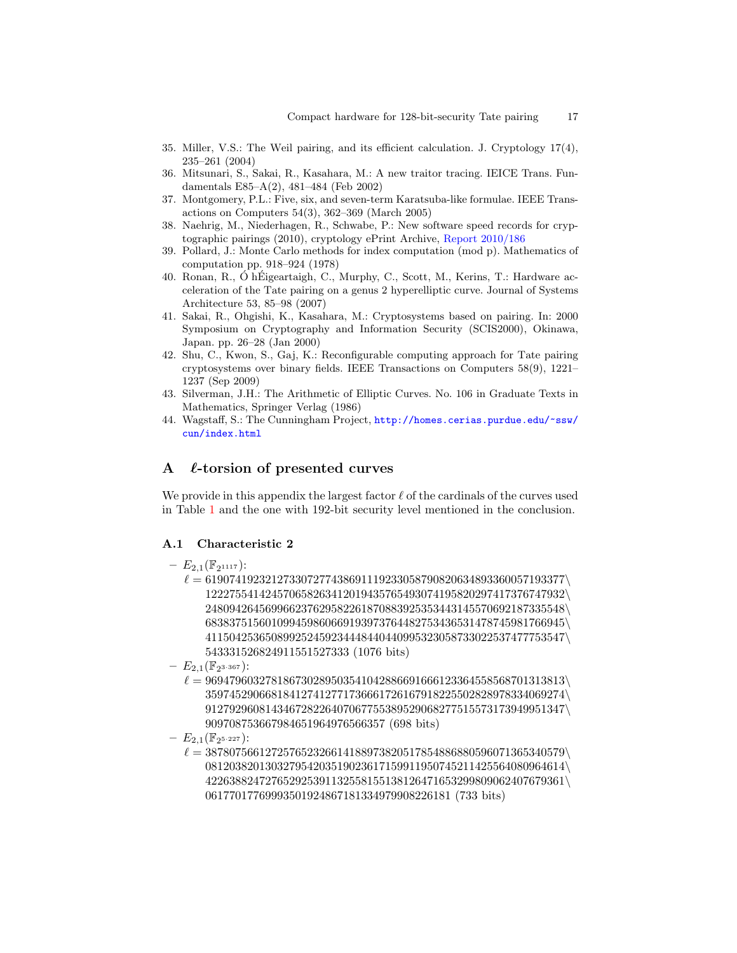- <span id="page-16-7"></span>35. Miller, V.S.: The Weil pairing, and its efficient calculation. J. Cryptology 17(4), 235–261 (2004)
- <span id="page-16-1"></span>36. Mitsunari, S., Sakai, R., Kasahara, M.: A new traitor tracing. IEICE Trans. Fundamentals E85–A(2), 481–484 (Feb 2002)
- <span id="page-16-8"></span>37. Montgomery, P.L.: Five, six, and seven-term Karatsuba-like formulae. IEEE Transactions on Computers 54(3), 362–369 (March 2005)
- <span id="page-16-9"></span>38. Naehrig, M., Niederhagen, R., Schwabe, P.: New software speed records for cryptographic pairings (2010), cryptology ePrint Archive, [Report 2010/186](http://eprint.iacr.org/2010/186)
- <span id="page-16-4"></span>39. Pollard, J.: Monte Carlo methods for index computation (mod p). Mathematics of computation pp. 918–924 (1978)
- <span id="page-16-2"></span>40. Ronan, R., Ó hÉigeartaigh, C., Murphy, C., Scott, M., Kerins, T.: Hardware acceleration of the Tate pairing on a genus 2 hyperelliptic curve. Journal of Systems Architecture 53, 85–98 (2007)
- <span id="page-16-0"></span>41. Sakai, R., Ohgishi, K., Kasahara, M.: Cryptosystems based on pairing. In: 2000 Symposium on Cryptography and Information Security (SCIS2000), Okinawa, Japan. pp. 26–28 (Jan 2000)
- <span id="page-16-3"></span>42. Shu, C., Kwon, S., Gaj, K.: Reconfigurable computing approach for Tate pairing cryptosystems over binary fields. IEEE Transactions on Computers 58(9), 1221– 1237 (Sep 2009)
- <span id="page-16-5"></span>43. Silverman, J.H.: The Arithmetic of Elliptic Curves. No. 106 in Graduate Texts in Mathematics, Springer Verlag (1986)
- <span id="page-16-6"></span>44. Wagstaff, S.: The Cunningham Project, [http://homes.cerias.purdue.edu/~ssw/](http://homes.cerias.purdue.edu/~ssw/cun/index.html) [cun/index.html](http://homes.cerias.purdue.edu/~ssw/cun/index.html)

# A  $\ell$ -torsion of presented curves

We provide in this appendix the largest factor  $\ell$  of the cardinals of the curves used in Table [1](#page-5-1) and the one with 192-bit security level mentioned in the conclusion.

### A.1 Characteristic 2

- $E_{2,1}(\mathbb{F}_{2^{1117}})$ :
	- $\ell = 619074192321273307277438691119233058790820634893360057193377\$ 122275541424570658263412019435765493074195820297417376747932\ 248094264569966237629582261870883925353443145570692187335548\ 683837515601099459860669193973764482753436531478745981766945\ 411504253650899252459234448440440995323058733022537477753547\ 543331526824911551527333 (1076 bits)
- $E_{2,1}(\mathbb{F}_{2^{3\cdot 367}})$ :
	- $\ell = 969479603278186730289503541042886691666123364558568701313813$ 359745290668184127412771736661726167918225502828978334069274\ 912792960814346728226407067755389529068277515573173949951347\ 909708753667984651964976566357 (698 bits)
- $E_{2,1}(\mathbb{F}_{2^{5\cdot 227}})$ :
	- $\ell = 387807566127257652326614188973820517854886880596071365340579\backslash$ 081203820130327954203519023617159911950745211425564080964614\ 422638824727652925391132558155138126471653299809062407679361\ 06177017769993501924867181334979908226181 (733 bits)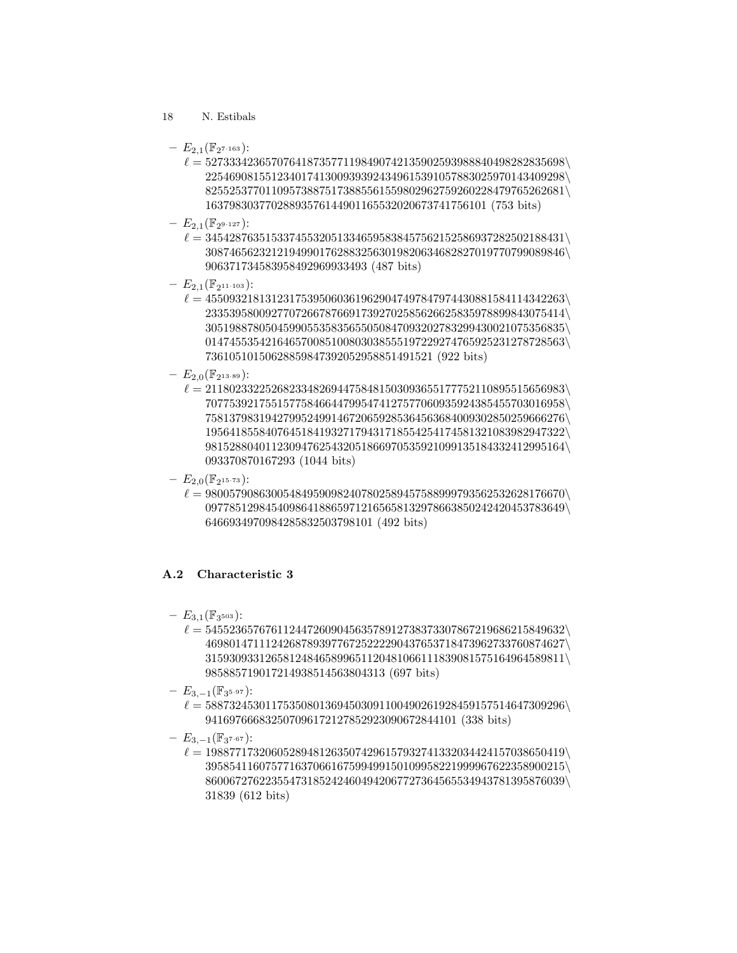- 18 N. Estibals
	- $E_{2,1}(\mathbb{F}_{2^{7\cdot 163}})$ :
		- $\ell = 527333423657076418735771198490742135902593988840498282835698$ 225469081551234017413009393924349615391057883025970143409298\ 825525377011095738875173885561559802962759260228479765262681\ 16379830377028893576144901165532020673741756101 (753 bits)
	- $E_{2,1}(\mathbb{F}_{2^{9\cdot 127}})$ :
		- $\ell = 345428763515337455320513346595838457562152586937282502188431\backslash$ 308746562321219499017628832563019820634682827019770799089846\ 906371734583958492969933493 (487 bits)
	- $E_{2,1}(\mathbb{F}_{2^{11 \cdot 103}})$ :
		- $\ell = 455093218131231753950603619629047497847974430881584114342263\backslash$ 233539580092770726678766917392702585626625835978899843075414\ 305198878050459905535835655050847093202783299430021075356835\ 014745535421646570085100803038555197229274765925231278728563\ 73610510150628859847392052958851491521 (922 bits)
	- $E_{2,0}(\mathbb{F}_{2^{13 \cdot 89}})$ :
		- $\ell = 211802332252682334826944758481503093655177752110895515656983\backslash$ 707753921755157758466447995474127577060935924385455703016958\ 758137983194279952499146720659285364563684009302850259666276\ 195641855840764518419327179431718554254174581321083982947322\ 981528804011230947625432051866970535921099135184332412995164\ 093370870167293 (1044 bits)
	- $E_{2,0}(\mathbb{F}_{2^{15\cdot73}})$ :
		- $\ell = 980057908630054849590982407802589457588999793562532628176670\backslash$ 097785129845409864188659712165658132978663850242420453783649\ 6466934970984285832503798101 (492 bits)

# A.2 Characteristic 3

- $E_{3,1}(\mathbb{F}_{3^{503}}):$ 
	- $\ell = 545523657676112447260904563578912738373307867219686215849632\backslash$ 469801471112426878939776725222290437653718473962733760874627\ 315930933126581248465899651120481066111839081575164964589811\ 985885719017214938514563804313 (697 bits)
- $E_{3,-1}(\mathbb{F}_{3^{5\cdot 97}})$ :
	- $\ell = 588732453011753508013694503091100490261928459157514647309296\backslash$ 941697666832507096172127852923090672844101 (338 bits)
- $E_{3,-1}(\mathbb{F}_{3^{7\cdot 67}})$ :
	- $\ell = 198877173206052894812635074296157932741332034424157038650419\backslash$ 395854116075771637066167599499150109958221999967622358900215\ 860067276223554731852424604942067727364565534943781395876039\ 31839 (612 bits)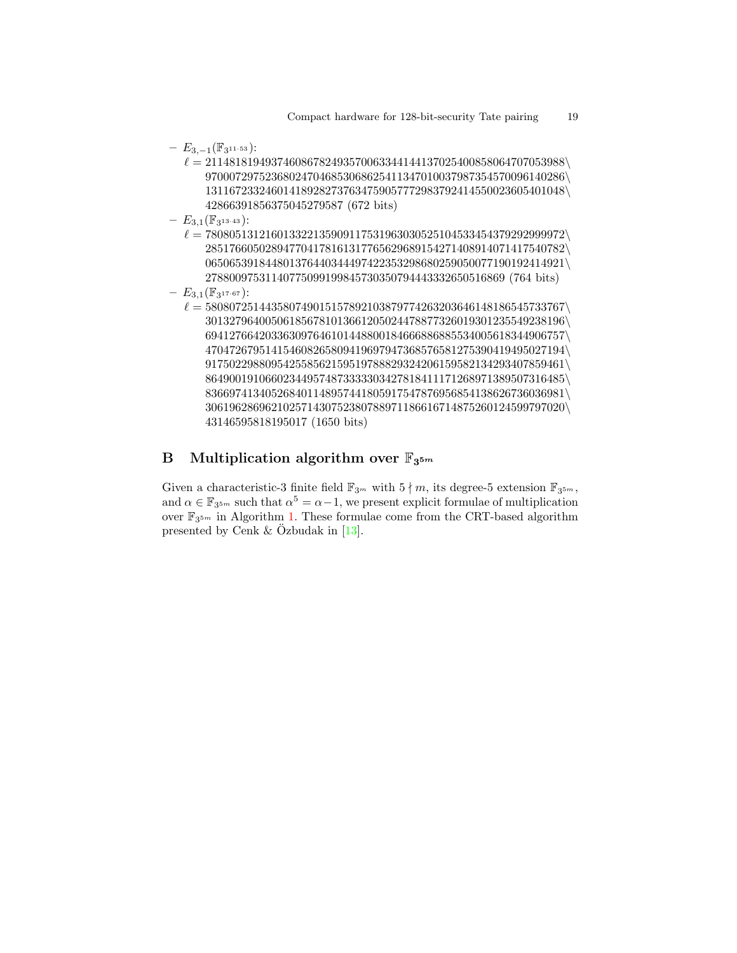- $E_{3,-1}(\mathbb{F}_{3^{11 \cdot 53}})$ :
	- $\ell = 211481819493746086782493570063344144137025400858064707053988\backslash$ 970007297523680247046853068625411347010037987354570096140286\ 131167233246014189282737634759057772983792414550023605401048\ 42866391856375045279587 (672 bits)
- $E_{3,1}(\mathbb{F}_{3^{13\cdot 43}})$ :
	- $\ell = 780805131216013322135909117531963030525104533454379292999972\backslash$ 285176605028947704178161317765629689154271408914071417540782\ 065065391844801376440344497422353298680259050077190192414921\ 27880097531140775099199845730350794443332650516869 (764 bits)
- $E_{3,1}(\mathbb{F}_{3^{17\cdot 67}})$ :
	- $\ell = 580807251443580749015157892103879774263203646148186545733767\backslash$ 301327964005061856781013661205024478877326019301235549238196\ 694127664203363097646101448800184666886885534005618344906757\ 470472679514154608265809419697947368576581275390419495027194\  $917502298809542558562159519788829324206159582134293407859461\backslash$ 864900191066023449574873333303427818411171268971389507316485\ 836697413405268401148957441805917547876956854138626736036981\ 306196286962102571430752380788971186616714875260124599797020\ 43146595818195017 (1650 bits)

# <span id="page-18-0"></span>B Multiplication algorithm over  $\mathbb{F}_{3^{5m}}$

Given a characteristic-3 finite field  $\mathbb{F}_{3^m}$  with  $5 \nmid m$ , its degree-5 extension  $\mathbb{F}_{3^{5m}}$ , and  $\alpha \in \mathbb{F}_{3^{5m}}$  such that  $\alpha^5 = \alpha - 1$ , we present explicit formulae of multiplication over  $\mathbb{F}_{3^{5m}}$  in Algorithm [1.](#page-19-0) These formulae come from the CRT-based algorithm presented by Cenk & Özbudak in  $[13]$  $[13]$ .